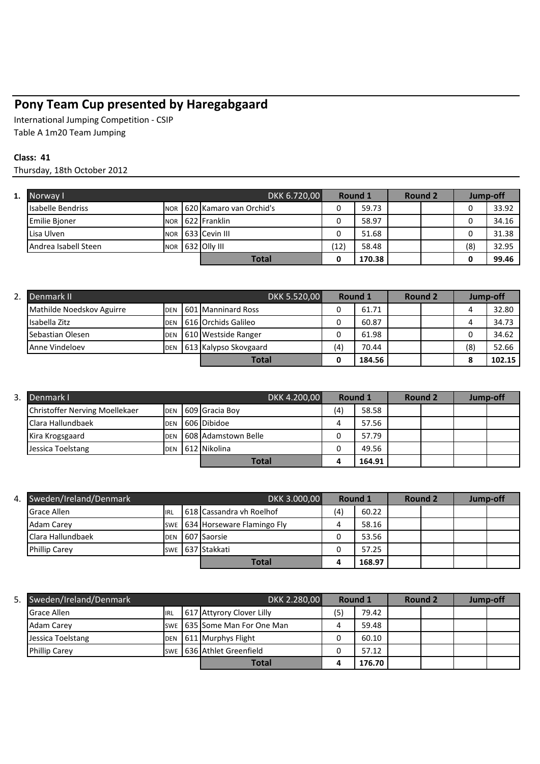## **Pony Team Cup presented by Haregabgaard**

International Jumping Competition - CSIP Table A 1m20 Team Jumping

## **Class: 41**

Thursday, 18th October 2012

| 1. | Norway I                 |            | DKK 6.720,00 | <b>Round 1</b>           |      | Round 2 |  | Jump-off |     |       |
|----|--------------------------|------------|--------------|--------------------------|------|---------|--|----------|-----|-------|
|    | <b>Isabelle Bendriss</b> | <b>NOR</b> |              | 1620 Kamaro van Orchid's |      | 59.73   |  |          | 0   | 33.92 |
|    | <b>Emilie Bioner</b>     | <b>NOR</b> |              | 622 Franklin             |      | 58.97   |  |          |     | 34.16 |
|    | Lisa Ulven               | <b>NOR</b> |              | 633 Cevin III            |      | 51.68   |  |          | 0   | 31.38 |
|    | Andrea Isabell Steen     | <b>NOR</b> |              | 632 Olly III             | (12) | 58.48   |  |          | (8) | 32.95 |
|    |                          |            |              | <b>Total</b>             |      | 170.38  |  |          | ი   | 99.46 |

| z. | Denmark II                |            |  | DKK 5.520,00          | Round 1 |        | Round 2 |  | Jump-off |        |
|----|---------------------------|------------|--|-----------------------|---------|--------|---------|--|----------|--------|
|    | Mathilde Noedskov Aguirre | <b>DEN</b> |  | 601 Manninard Ross    |         | 61.71  |         |  |          | 32.80  |
|    | Isabella Zitz             | <b>DEN</b> |  | 616 Orchids Galileo   |         | 60.87  |         |  |          | 34.73  |
|    | Sebastian Olesen          | <b>DEN</b> |  | 610 Westside Ranger   |         | 61.98  |         |  |          | 34.62  |
|    | <b>Anne Vindeloev</b>     | <b>DEN</b> |  | 613 Kalypso Skovgaard | (4)     | 70.44  |         |  | (8)      | 52.66  |
|    |                           |            |  | <b>Total</b>          |         | 184.56 |         |  |          | 102.15 |

| 3. Denmark I                   |            | DKK 4.200,00        | Round 1 |        | Round 2 |  | Jump-off |  |
|--------------------------------|------------|---------------------|---------|--------|---------|--|----------|--|
| Christoffer Nerving Moellekaer | <b>DEN</b> | 609 Gracia Boy      | (4)     | 58.58  |         |  |          |  |
| Clara Hallundbaek              | <b>DEN</b> | 606 Dibidoe         |         | 57.56  |         |  |          |  |
| Kira Krogsgaard                | <b>DEN</b> | 608 Adamstown Belle |         | 57.79  |         |  |          |  |
| Jessica Toelstang              | <b>DEN</b> | 612 Nikolina        |         | 49.56  |         |  |          |  |
|                                |            | <b>Total</b>        | д       | 164.91 |         |  |          |  |

| 4. | Sweden/Ireland/Denmark | DKK 3.000,00 |  | Round 1                        |     | Round 2 |  | Jump-off |  |  |
|----|------------------------|--------------|--|--------------------------------|-----|---------|--|----------|--|--|
|    | <b>Grace Allen</b>     | <b>IRL</b>   |  | 618 Cassandra vh Roelhof       | (4) | 60.22   |  |          |  |  |
|    | <b>Adam Carey</b>      |              |  | SWE 634 Horseware Flamingo Fly |     | 58.16   |  |          |  |  |
|    | Clara Hallundbaek      | <b>DEN</b>   |  | 607 Saorsie                    | v   | 53.56   |  |          |  |  |
|    | <b>Phillip Carey</b>   | <b>SWE</b>   |  | 637 Stakkati                   |     | 57.25   |  |          |  |  |
|    |                        |              |  | <b>Total</b>                   |     | 168.97  |  |          |  |  |

| 5. | Sweden/Ireland/Denmark |             | DKK 2.280,00                   |     | Round 1 |  | Round 2 |  | Jump-off |  |
|----|------------------------|-------------|--------------------------------|-----|---------|--|---------|--|----------|--|
|    | <b>Grace Allen</b>     | <b>IIRL</b> | 617 Attyrory Clover Lilly      | (5) | 79.42   |  |         |  |          |  |
|    | Adam Carey             |             | SWE   635 Some Man For One Man |     | 59.48   |  |         |  |          |  |
|    | Jessica Toelstang      | <b>DEN</b>  | 611 Murphys Flight             |     | 60.10   |  |         |  |          |  |
|    | <b>Phillip Carev</b>   |             | SWE 1636 Athlet Greenfield     |     | 57.12   |  |         |  |          |  |
|    |                        |             | <b>Total</b>                   |     | 176.70  |  |         |  |          |  |